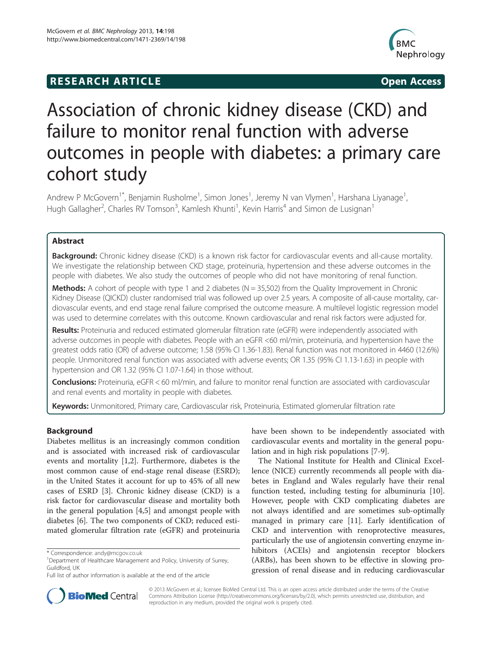# **RESEARCH ARTICLE Example 2014 CONSIDERING CONSIDERING CONSIDERING CONSIDERING CONSIDERING CONSIDERING CONSIDERING CONSIDERING CONSIDERING CONSIDERING CONSIDERING CONSIDERING CONSIDERING CONSIDERING CONSIDERING CONSIDE**



# Association of chronic kidney disease (CKD) and failure to monitor renal function with adverse outcomes in people with diabetes: a primary care cohort study

Andrew P McGovern<sup>1\*</sup>, Benjamin Rusholme<sup>1</sup>, Simon Jones<sup>1</sup>, Jeremy N van Vlymen<sup>1</sup>, Harshana Liyanage<sup>1</sup> , Hugh Gallagher<sup>2</sup>, Charles RV Tomson<sup>3</sup>, Kamlesh Khunti<sup>1</sup>, Kevin Harris<sup>4</sup> and Simon de Lusignan<sup>1</sup>

# Abstract

Background: Chronic kidney disease (CKD) is a known risk factor for cardiovascular events and all-cause mortality. We investigate the relationship between CKD stage, proteinuria, hypertension and these adverse outcomes in the people with diabetes. We also study the outcomes of people who did not have monitoring of renal function.

**Methods:** A cohort of people with type 1 and 2 diabetes ( $N = 35,502$ ) from the Quality Improvement in Chronic Kidney Disease (QICKD) cluster randomised trial was followed up over 2.5 years. A composite of all-cause mortality, cardiovascular events, and end stage renal failure comprised the outcome measure. A multilevel logistic regression model was used to determine correlates with this outcome. Known cardiovascular and renal risk factors were adjusted for.

Results: Proteinuria and reduced estimated glomerular filtration rate (eGFR) were independently associated with adverse outcomes in people with diabetes. People with an eGFR <60 ml/min, proteinuria, and hypertension have the greatest odds ratio (OR) of adverse outcome; 1.58 (95% CI 1.36-1.83). Renal function was not monitored in 4460 (12.6%) people. Unmonitored renal function was associated with adverse events; OR 1.35 (95% CI 1.13-1.63) in people with hypertension and OR 1.32 (95% CI 1.07-1.64) in those without.

Conclusions: Proteinuria, eGFR < 60 ml/min, and failure to monitor renal function are associated with cardiovascular and renal events and mortality in people with diabetes.

Keywords: Unmonitored, Primary care, Cardiovascular risk, Proteinuria, Estimated glomerular filtration rate

# Background

Diabetes mellitus is an increasingly common condition and is associated with increased risk of cardiovascular events and mortality [\[1,2](#page-9-0)]. Furthermore, diabetes is the most common cause of end-stage renal disease (ESRD); in the United States it account for up to 45% of all new cases of ESRD [\[3](#page-9-0)]. Chronic kidney disease (CKD) is a risk factor for cardiovascular disease and mortality both in the general population [[4,5\]](#page-9-0) and amongst people with diabetes [\[6\]](#page-9-0). The two components of CKD; reduced estimated glomerular filtration rate (eGFR) and proteinuria

have been shown to be independently associated with cardiovascular events and mortality in the general population and in high risk populations [\[7](#page-9-0)-[9\]](#page-9-0).

The National Institute for Health and Clinical Excellence (NICE) currently recommends all people with diabetes in England and Wales regularly have their renal function tested, including testing for albuminuria [\[10](#page-9-0)]. However, people with CKD complicating diabetes are not always identified and are sometimes sub-optimally managed in primary care [\[11\]](#page-9-0). Early identification of CKD and intervention with renoprotective measures, particularly the use of angiotensin converting enzyme inhibitors (ACEIs) and angiotensin receptor blockers (ARBs), has been shown to be effective in slowing progression of renal disease and in reducing cardiovascular



© 2013 McGovern et al.; licensee BioMed Central Ltd. This is an open access article distributed under the terms of the Creative Commons Attribution License [\(http://creativecommons.org/licenses/by/2.0\)](http://creativecommons.org/licenses/by/2.0), which permits unrestricted use, distribution, and reproduction in any medium, provided the original work is properly cited.

<sup>\*</sup> Correspondence: [andy@mcgov.co.uk](mailto:andy@mcgov.co.uk) <sup>1</sup>

<sup>&</sup>lt;sup>1</sup>Department of Healthcare Management and Policy, University of Surrey, Guildford, UK

Full list of author information is available at the end of the article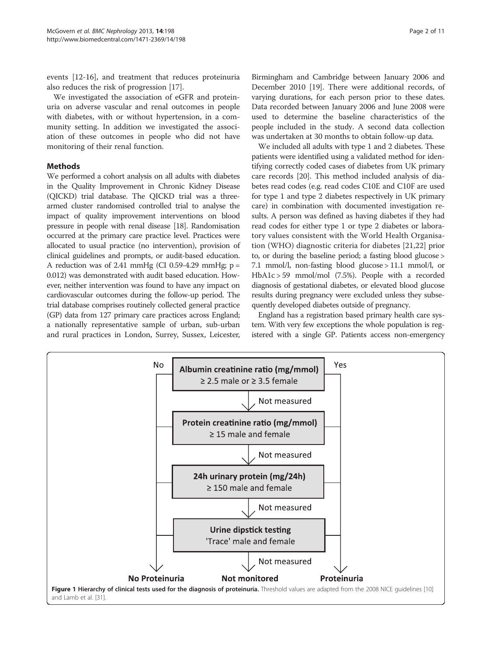<span id="page-1-0"></span>events [\[12](#page-9-0)-[16\]](#page-9-0), and treatment that reduces proteinuria also reduces the risk of progression [[17\]](#page-9-0).

We investigated the association of eGFR and proteinuria on adverse vascular and renal outcomes in people with diabetes, with or without hypertension, in a community setting. In addition we investigated the association of these outcomes in people who did not have monitoring of their renal function.

# Methods

We performed a cohort analysis on all adults with diabetes in the Quality Improvement in Chronic Kidney Disease (QICKD) trial database. The QICKD trial was a threearmed cluster randomised controlled trial to analyse the impact of quality improvement interventions on blood pressure in people with renal disease [\[18\]](#page-9-0). Randomisation occurred at the primary care practice level. Practices were allocated to usual practice (no intervention), provision of clinical guidelines and prompts, or audit-based education. A reduction was of 2.41 mmHg (CI 0.59-4.29 mmHg;  $p =$ 0.012) was demonstrated with audit based education. However, neither intervention was found to have any impact on cardiovascular outcomes during the follow-up period. The trial database comprises routinely collected general practice (GP) data from 127 primary care practices across England; a nationally representative sample of urban, sub-urban and rural practices in London, Surrey, Sussex, Leicester,

Birmingham and Cambridge between January 2006 and December 2010 [[19](#page-9-0)]. There were additional records, of varying durations, for each person prior to these dates. Data recorded between January 2006 and June 2008 were used to determine the baseline characteristics of the people included in the study. A second data collection was undertaken at 30 months to obtain follow-up data.

We included all adults with type 1 and 2 diabetes. These patients were identified using a validated method for identifying correctly coded cases of diabetes from UK primary care records [\[20\]](#page-9-0). This method included analysis of diabetes read codes (e.g. read codes C10E and C10F are used for type 1 and type 2 diabetes respectively in UK primary care) in combination with documented investigation results. A person was defined as having diabetes if they had read codes for either type 1 or type 2 diabetes or laboratory values consistent with the World Health Organisation (WHO) diagnostic criteria for diabetes [[21,22\]](#page-9-0) prior to, or during the baseline period; a fasting blood glucose > 7.1 mmol/l, non-fasting blood glucose > 11.1 mmol/l, or HbA1c > 59 mmol/mol (7.5%). People with a recorded diagnosis of gestational diabetes, or elevated blood glucose results during pregnancy were excluded unless they subsequently developed diabetes outside of pregnancy.

England has a registration based primary health care system. With very few exceptions the whole population is registered with a single GP. Patients access non-emergency

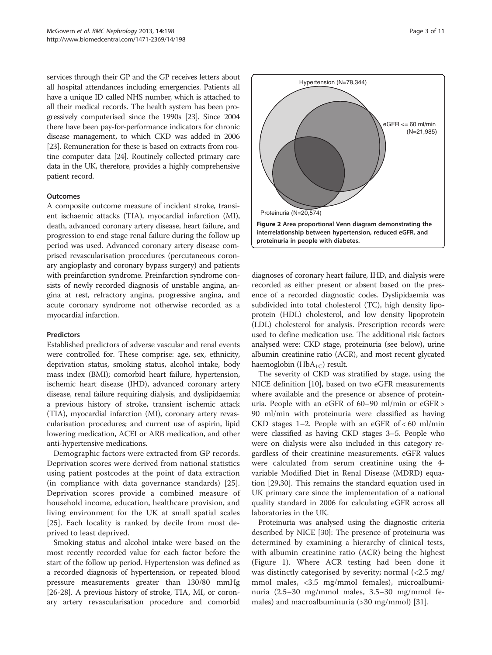<span id="page-2-0"></span>services through their GP and the GP receives letters about all hospital attendances including emergencies. Patients all have a unique ID called NHS number, which is attached to all their medical records. The health system has been progressively computerised since the 1990s [\[23\]](#page-9-0). Since 2004 there have been pay-for-performance indicators for chronic disease management, to which CKD was added in 2006 [[23](#page-9-0)]. Remuneration for these is based on extracts from routine computer data [\[24\]](#page-9-0). Routinely collected primary care data in the UK, therefore, provides a highly comprehensive patient record.

### **Outcomes**

A composite outcome measure of incident stroke, transient ischaemic attacks (TIA), myocardial infarction (MI), death, advanced coronary artery disease, heart failure, and progression to end stage renal failure during the follow up period was used. Advanced coronary artery disease comprised revascularisation procedures (percutaneous coronary angioplasty and coronary bypass surgery) and patients with preinfarction syndrome. Preinfarction syndrome consists of newly recorded diagnosis of unstable angina, angina at rest, refractory angina, progressive angina, and acute coronary syndrome not otherwise recorded as a myocardial infarction.

#### Predictors

Established predictors of adverse vascular and renal events were controlled for. These comprise: age, sex, ethnicity, deprivation status, smoking status, alcohol intake, body mass index (BMI); comorbid heart failure, hypertension, ischemic heart disease (IHD), advanced coronary artery disease, renal failure requiring dialysis, and dyslipidaemia; a previous history of stroke, transient ischemic attack (TIA), myocardial infarction (MI), coronary artery revascularisation procedures; and current use of aspirin, lipid lowering medication, ACEI or ARB medication, and other anti-hypertensive medications.

Demographic factors were extracted from GP records. Deprivation scores were derived from national statistics using patient postcodes at the point of data extraction (in compliance with data governance standards) [[25](#page-9-0)]. Deprivation scores provide a combined measure of household income, education, healthcare provision, and living environment for the UK at small spatial scales [[25\]](#page-9-0). Each locality is ranked by decile from most deprived to least deprived.

Smoking status and alcohol intake were based on the most recently recorded value for each factor before the start of the follow up period. Hypertension was defined as a recorded diagnosis of hypertension, or repeated blood pressure measurements greater than 130/80 mmHg [[26](#page-9-0)-[28\]](#page-9-0). A previous history of stroke, TIA, MI, or coronary artery revascularisation procedure and comorbid



diagnoses of coronary heart failure, IHD, and dialysis were recorded as either present or absent based on the presence of a recorded diagnostic codes. Dyslipidaemia was subdivided into total cholesterol (TC), high density lipoprotein (HDL) cholesterol, and low density lipoprotein (LDL) cholesterol for analysis. Prescription records were used to define medication use. The additional risk factors analysed were: CKD stage, proteinuria (see below), urine albumin creatinine ratio (ACR), and most recent glycated haemoglobin (HbA $_{1C}$ ) result.

The severity of CKD was stratified by stage, using the NICE definition [\[10](#page-9-0)], based on two eGFR measurements where available and the presence or absence of proteinuria. People with an eGFR of 60–90 ml/min or eGFR > 90 ml/min with proteinuria were classified as having CKD stages 1–2. People with an eGFR of < 60 ml/min were classified as having CKD stages 3–5. People who were on dialysis were also included in this category regardless of their creatinine measurements. eGFR values were calculated from serum creatinine using the 4 variable Modified Diet in Renal Disease (MDRD) equation [\[29,30](#page-9-0)]. This remains the standard equation used in UK primary care since the implementation of a national quality standard in 2006 for calculating eGFR across all laboratories in the UK.

Proteinuria was analysed using the diagnostic criteria described by NICE [\[30\]](#page-9-0): The presence of proteinuria was determined by examining a hierarchy of clinical tests, with albumin creatinine ratio (ACR) being the highest (Figure [1](#page-1-0)). Where ACR testing had been done it was distinctly categorised by severity; normal (<2.5 mg/ mmol males, <3.5 mg/mmol females), microalbuminuria (2.5–30 mg/mmol males, 3.5–30 mg/mmol females) and macroalbuminuria (>30 mg/mmol) [[31\]](#page-9-0).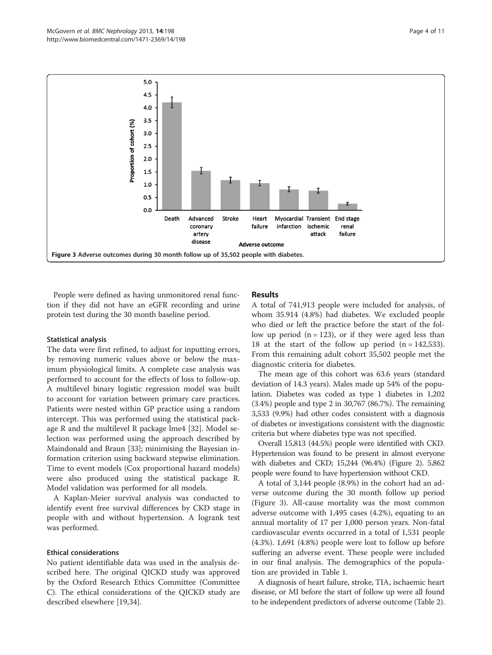

People were defined as having unmonitored renal function if they did not have an eGFR recording and urine protein test during the 30 month baseline period.

#### Statistical analysis

The data were first refined, to adjust for inputting errors, by removing numeric values above or below the maximum physiological limits. A complete case analysis was performed to account for the effects of loss to follow-up. A multilevel binary logistic regression model was built to account for variation between primary care practices. Patients were nested within GP practice using a random intercept. This was performed using the statistical package R and the multilevel R package lme4 [\[32\]](#page-9-0). Model selection was performed using the approach described by Maindonald and Braun [[33\]](#page-9-0); minimising the Bayesian information criterion using backward stepwise elimination. Time to event models (Cox proportional hazard models) were also produced using the statistical package R. Model validation was performed for all models.

A Kaplan-Meier survival analysis was conducted to identify event free survival differences by CKD stage in people with and without hypertension. A logrank test was performed.

#### Ethical considerations

No patient identifiable data was used in the analysis described here. The original QICKD study was approved by the Oxford Research Ethics Committee (Committee C). The ethical considerations of the QICKD study are described elsewhere [\[19,34](#page-9-0)].

#### Results

A total of 741,913 people were included for analysis, of whom 35.914 (4.8%) had diabetes. We excluded people who died or left the practice before the start of the follow up period  $(n = 123)$ , or if they were aged less than 18 at the start of the follow up period  $(n = 142,533)$ . From this remaining adult cohort 35,502 people met the diagnostic criteria for diabetes.

The mean age of this cohort was 63.6 years (standard deviation of 14.3 years). Males made up 54% of the population. Diabetes was coded as type 1 diabetes in 1,202 (3.4%) people and type 2 in 30,767 (86.7%). The remaining 3,533 (9.9%) had other codes consistent with a diagnosis of diabetes or investigations consistent with the diagnostic criteria but where diabetes type was not specified.

Overall 15,813 (44.5%) people were identified with CKD. Hypertension was found to be present in almost everyone with diabetes and CKD; 15,244 (96.4%) (Figure [2](#page-2-0)). 5,862 people were found to have hypertension without CKD.

A total of 3,144 people (8.9%) in the cohort had an adverse outcome during the 30 month follow up period (Figure 3). All-cause mortality was the most common adverse outcome with 1,495 cases (4.2%), equating to an annual mortality of 17 per 1,000 person years. Non-fatal cardiovascular events occurred in a total of 1,531 people (4.3%). 1,691 (4.8%) people were lost to follow up before suffering an adverse event. These people were included in our final analysis. The demographics of the population are provided in Table [1](#page-4-0).

A diagnosis of heart failure, stroke, TIA, ischaemic heart disease, or MI before the start of follow up were all found to be independent predictors of adverse outcome (Table [2](#page-5-0)).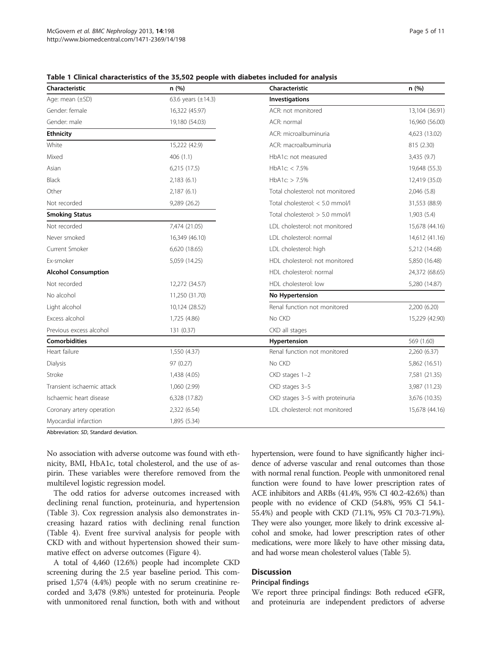<span id="page-4-0"></span>

| Table 1 Clinical characteristics of the 35,502 people with diabetes included for analysis |  |  |  |  |  |
|-------------------------------------------------------------------------------------------|--|--|--|--|--|
|-------------------------------------------------------------------------------------------|--|--|--|--|--|

| Characteristic             | n (%)                   | Characteristic                   | n(%)           |
|----------------------------|-------------------------|----------------------------------|----------------|
| Age: mean (±SD)            | 63.6 years $(\pm 14.3)$ | <b>Investigations</b>            |                |
| Gender: female             | 16,322 (45.97)          | ACR: not monitored               | 13,104 (36.91) |
| Gender: male               | 19,180 (54.03)          | ACR: normal                      | 16,960 (56.00) |
| <b>Ethnicity</b>           |                         | ACR: microalbuminuria            | 4,623 (13.02)  |
| White                      | 15,222 (42.9)           | ACR: macroalbuminuria            | 815 (2.30)     |
| Mixed                      | 406 (1.1)               | HbA1c: not measured              | 3,435 (9.7)    |
| Asian                      | 6,215(17.5)             | HbA1c: < 7.5%                    | 19,648 (55.3)  |
| <b>Black</b>               | 2,183(6.1)              | $HbA1c:$ > 7.5%                  | 12,419 (35.0)  |
| Other                      | 2,187(6.1)              | Total cholesterol: not monitored | 2,046 (5.8)    |
| Not recorded               | 9,289 (26.2)            | Total cholesterol: < 5.0 mmol/l  | 31,553 (88.9)  |
| <b>Smoking Status</b>      |                         | Total cholesterol: > 5.0 mmol/l  | 1,903(5.4)     |
| Not recorded               | 7,474 (21.05)           | LDL cholesterol: not monitored   | 15,678 (44.16) |
| Never smoked               | 16,349 (46.10)          | LDL cholesterol: normal          | 14,612 (41.16) |
| Current Smoker             | 6,620 (18.65)           | LDL cholesterol: high            | 5,212 (14.68)  |
| Ex-smoker                  | 5,059 (14.25)           | HDL cholesterol: not monitored   | 5,850 (16.48)  |
| <b>Alcohol Consumption</b> |                         | HDI cholesterol: normal          | 24,372 (68.65) |
| Not recorded               | 12,272 (34.57)          | HDL cholesterol: low             | 5,280 (14.87)  |
| No alcohol                 | 11,250 (31.70)          | No Hypertension                  |                |
| Light alcohol              | 10,124 (28.52)          | Renal function not monitored     | 2,200 (6.20)   |
| Excess alcohol             | 1,725 (4.86)            | No CKD                           | 15,229 (42.90) |
| Previous excess alcohol    | 131 (0.37)              | CKD all stages                   |                |
| <b>Comorbidities</b>       |                         | Hypertension                     | 569 (1.60)     |
| Heart failure              | 1,550 (4.37)            | Renal function not monitored     | 2,260 (6.37)   |
| <b>Dialysis</b>            | 97 (0.27)               | No CKD                           | 5,862 (16.51)  |
| Stroke                     | 1,438 (4.05)            | CKD stages 1-2                   | 7,581 (21.35)  |
| Transient ischaemic attack | 1,060 (2.99)            | CKD stages 3-5                   | 3,987 (11.23)  |
| Ischaemic heart disease    | 6,328 (17.82)           | CKD stages 3-5 with proteinuria  | 3,676 (10.35)  |
| Coronary artery operation  | 2,322 (6.54)            | LDL cholesterol: not monitored   | 15,678 (44.16) |
| Myocardial infarction      | 1,895 (5.34)            |                                  |                |

Abbreviation: SD, Standard deviation.

No association with adverse outcome was found with ethnicity, BMI, HbA1c, total cholesterol, and the use of aspirin. These variables were therefore removed from the multilevel logistic regression model.

The odd ratios for adverse outcomes increased with declining renal function, proteinuria, and hypertension (Table [3\)](#page-6-0). Cox regression analysis also demonstrates increasing hazard ratios with declining renal function (Table [4](#page-7-0)). Event free survival analysis for people with CKD with and without hypertension showed their summative effect on adverse outcomes (Figure [4\)](#page-7-0).

A total of 4,460 (12.6%) people had incomplete CKD screening during the 2.5 year baseline period. This comprised 1,574 (4.4%) people with no serum creatinine recorded and 3,478 (9.8%) untested for proteinuria. People with unmonitored renal function, both with and without hypertension, were found to have significantly higher incidence of adverse vascular and renal outcomes than those with normal renal function. People with unmonitored renal function were found to have lower prescription rates of ACE inhibitors and ARBs (41.4%, 95% CI 40.2-42.6%) than people with no evidence of CKD (54.8%, 95% CI 54.1- 55.4%) and people with CKD (71.1%, 95% CI 70.3-71.9%). They were also younger, more likely to drink excessive alcohol and smoke, had lower prescription rates of other medications, were more likely to have other missing data, and had worse mean cholesterol values (Table [5](#page-8-0)).

# **Discussion**

#### Principal findings

We report three principal findings: Both reduced eGFR, and proteinuria are independent predictors of adverse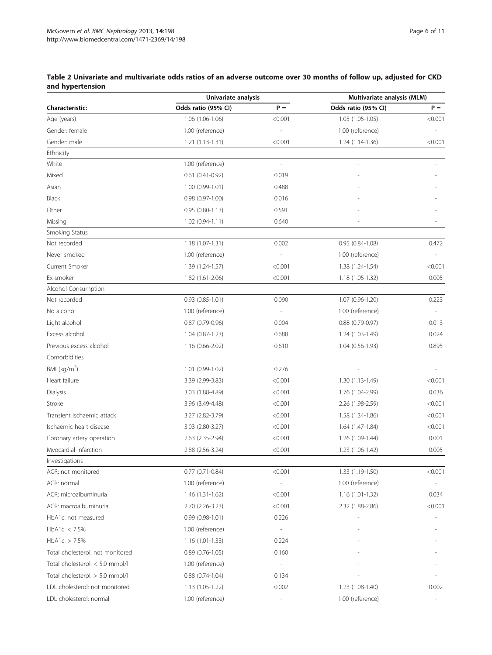# Univariate analysis **Multivariate analysis** (MLM) Characteristic: Characteristic: Characteristic: Characteristic: Characteristic: P = Codds ratio (95% CI) P = C Age (years) 1.06 (1.06-1.06) <0.001 1.05 (1.05-1.05) <0.001 Gender: female 1.00 (reference) 1.00 (reference) 1.00 (reference) 1.00 (reference) Gender: male 1.21 (1.13-1.31)  $\sim$  20.001 1.24 (1.14-1.36)  $\sim$  0.001 Ethnicity White 1.00 (reference) - - - Mixed 0.61 (0.41-0.92) 0.019 - - Asian 1.00 (0.99-1.01) 0.488 - - Black 0.98 (0.97-1.00) 0.016 - - Other 0.95 (0.80-1.13) 0.591 - - Missing 1.02 (0.94-1.11) 0.640 - - Smoking Status Not recorded 1.18 (1.07-1.31) 0.002 0.95 (0.84-1.08) 0.472 Never smoked and the state of the 1.00 (reference) and the 1.00 (reference) and the 1.00 (reference) Current Smoker 1.39 (1.24-1.57) <0.001 1.38 (1.24-1.54) <0.001 Ex-smoker 1.82 (1.61-2.06) <0.001 1.18 (1.05-1.32) 0.005 Alcohol Consumption Not recorded 2.03 (0.85-1.01) 0.93 (0.85-1.01) 0.090 1.07 (0.96-1.20) 0.223 No alcohol 1.00 (reference) 1.00 (reference) 1.00 (reference) 1.00 (reference) Light alcohol 0.87 (0.79-0.96) 0.004 0.88 (0.79-0.97) 0.013 Excess alcohol 1.04 (0.87-1.23) 0.688 1.24 (1.03-1.49) 0.024 Previous excess alcohol 1.16 (0.66-2.02) 0.610 1.04 (0.56-1.93) 0.895 Comorbidities BMI ( $\text{kg/m}^2$ ) ) 1.01 (0.99-1.02) 0.276 - - Heart failure 3.39 (2.99-3.83) <0.001 (1.13-1.49) <0.001 Dialysis 3.03 (1.88-4.89) <0.001 1.76 (1.04-2.99) 0.036 Stroke 3.96 (3.49-4.48) <0.001 2.26 (1.98-2.59) <0.001 <0.001 Transient ischaemic attack 3.27 (2.82-3.79)  $\leq 0.001$  1.58 (1.34-1.86)  $\leq 0.001$ Ischaemic heart disease 3.03 (2.80-3.27)  $\leq 0.001$  (1.47-1.84)  $\leq 0.001$ Coronary artery operation 2.63 (2.35-2.94)  $\leq 0.001$  1.26 (1.09-1.44) 0.001 Myocardial infarction 2.88 (2.56-3.24) <0.001 1.23 (1.06-1.42) 0.005 Investigations ACR: not monitored  $0.77 (0.71-0.84)$   $< 0.001$   $1.33 (1.19-1.50)$   $< 0.001$ ACR: normal and the state of the state of the 1.00 (reference) and the state of the 1.00 (reference) and the state of the state of the state of the state of the state of the state of the state of the state of the state of ACR: microalbuminuria 1.46 (1.31-1.62) <0.001 1.16 (1.01-1.32) 0.034 ACR: macroalbuminuria 2.70 (2.26-3.23) <0.001 2.32 (1.88-2.86) <0.001 HbA1c: not measured 0.99 (0.98-1.01) 0.226 HbA1c: < 7.5% 1.00 (reference) - - - HbA1c: > 7.5% 1.16 (1.01-1.33) 0.224 - - Total cholesterol: not monitored 0.89 (0.76-1.05) 0.160 Total cholesterol: < 5.0 mmol/l 1.00 (reference) - -Total cholesterol: > 5.0 mmol/l 0.88 (0.74-1.04) 0.134 LDL cholesterol: not monitored 1.13 (1.05-1.22) 0.002 1.23 (1.08-1.40) 0.002

LDL cholesterol: normal 1.00 (reference) - 1.00 (reference) -

# <span id="page-5-0"></span>Table 2 Univariate and multivariate odds ratios of an adverse outcome over 30 months of follow up, adjusted for CKD and hypertension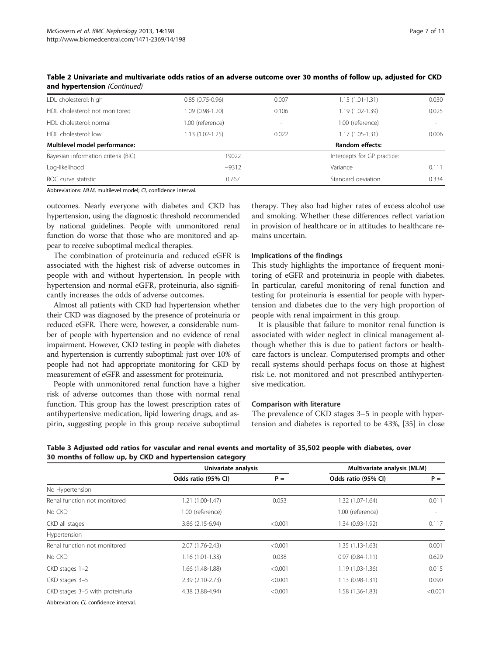| LDL cholesterol: high               | $0.85(0.75-0.96)$ | 0.007                    | $1.15(1.01-1.31)$           | 0.030 |
|-------------------------------------|-------------------|--------------------------|-----------------------------|-------|
| HDL cholesterol: not monitored      | 1.09 (0.98-1.20)  | 0.106                    | $1.19(1.02 - 1.39)$         | 0.025 |
| HDL cholesterol: normal             | 00 (reference)    | $\overline{\phantom{a}}$ | 1.00 (reference)            | ۰.    |
| HDL cholesterol: low                | $1.13(1.02-1.25)$ | 0.022                    | $1.17(1.05-1.31)$           | 0.006 |
| Multilevel model performance:       |                   |                          | Random effects:             |       |
| Bayesian information criteria (BIC) | 19022             |                          | Intercepts for GP practice: |       |
| Log-likelihood                      | $-9312$           |                          | Variance                    | 0.111 |
| ROC curve statistic                 | 0.767             |                          | Standard deviation          | 0.334 |

<span id="page-6-0"></span>Table 2 Univariate and multivariate odds ratios of an adverse outcome over 30 months of follow up, adjusted for CKD and hypertension (Continued)

Abbreviations: MLM, multilevel model; CI, confidence interval.

outcomes. Nearly everyone with diabetes and CKD has hypertension, using the diagnostic threshold recommended by national guidelines. People with unmonitored renal function do worse that those who are monitored and appear to receive suboptimal medical therapies.

The combination of proteinuria and reduced eGFR is associated with the highest risk of adverse outcomes in people with and without hypertension. In people with hypertension and normal eGFR, proteinuria, also significantly increases the odds of adverse outcomes.

Almost all patients with CKD had hypertension whether their CKD was diagnosed by the presence of proteinuria or reduced eGFR. There were, however, a considerable number of people with hypertension and no evidence of renal impairment. However, CKD testing in people with diabetes and hypertension is currently suboptimal: just over 10% of people had not had appropriate monitoring for CKD by measurement of eGFR and assessment for proteinuria.

People with unmonitored renal function have a higher risk of adverse outcomes than those with normal renal function. This group has the lowest prescription rates of antihypertensive medication, lipid lowering drugs, and aspirin, suggesting people in this group receive suboptimal therapy. They also had higher rates of excess alcohol use and smoking. Whether these differences reflect variation in provision of healthcare or in attitudes to healthcare remains uncertain.

### Implications of the findings

This study highlights the importance of frequent monitoring of eGFR and proteinuria in people with diabetes. In particular, careful monitoring of renal function and testing for proteinuria is essential for people with hypertension and diabetes due to the very high proportion of people with renal impairment in this group.

It is plausible that failure to monitor renal function is associated with wider neglect in clinical management although whether this is due to patient factors or healthcare factors is unclear. Computerised prompts and other recall systems should perhaps focus on those at highest risk i.e. not monitored and not prescribed antihypertensive medication.

#### Comparison with literature

The prevalence of CKD stages 3–5 in people with hypertension and diabetes is reported to be 43%, [[35](#page-9-0)] in close

|  | Table 3 Adjusted odd ratios for vascular and renal events and mortality of 35,502 people with diabetes, over |  |  |  |  |
|--|--------------------------------------------------------------------------------------------------------------|--|--|--|--|
|  | 30 months of follow up, by CKD and hypertension category                                                     |  |  |  |  |

|                                                     | Univariate analysis         |         | Multivariate analysis (MLM) |         |
|-----------------------------------------------------|-----------------------------|---------|-----------------------------|---------|
|                                                     | Odds ratio (95% CI)         | $P =$   | Odds ratio (95% CI)         | $P =$   |
| No Hypertension                                     |                             |         |                             |         |
| Renal function not monitored                        | $1.21(1.00-1.47)$           | 0.053   | 1.32 (1.07-1.64)            | 0.011   |
| No CKD                                              | 1.00 (reference)            |         | 1.00 (reference)            |         |
| CKD all stages                                      | 3.86 (2.15-6.94)<br>< 0.001 |         | 1.34 (0.93-1.92)            | 0.117   |
| Hypertension                                        |                             |         |                             |         |
| Renal function not monitored                        | 2.07 (1.76-2.43)            | < 0.001 | $1.35(1.13-1.63)$           | 0.001   |
| No CKD                                              | $1.16(1.01-1.33)$           | 0.038   | $0.97(0.84 - 1.11)$         | 0.629   |
| $CKD$ stages $1-2$                                  | 1.66 (1.48-1.88)            | < 0.001 | $1.19(1.03-1.36)$           | 0.015   |
| CKD stages 3-5                                      | 2.39 (2.10-2.73)            | < 0.001 | $1.13(0.98-1.31)$           | 0.090   |
| CKD stages 3-5 with proteinuria<br>4.38 (3.88-4.94) |                             | < 0.001 | 1.58 (1.36-1.83)            | < 0.001 |

Abbreviation: CI, confidence interval.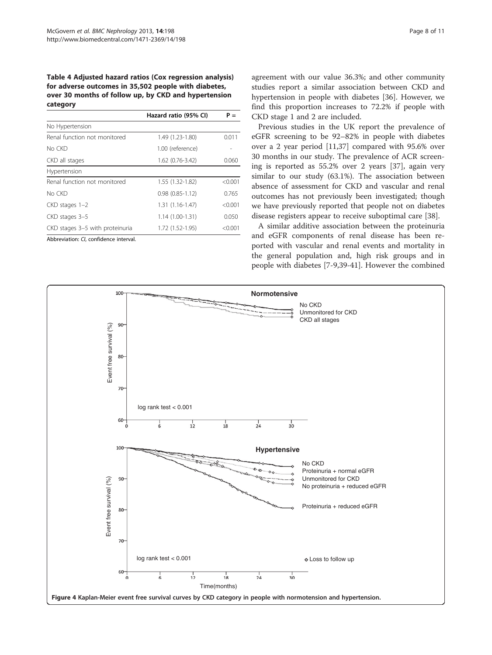<span id="page-7-0"></span>Table 4 Adjusted hazard ratios (Cox regression analysis) for adverse outcomes in 35,502 people with diabetes, over 30 months of follow up, by CKD and hypertension category

|                                 | Hazard ratio (95% CI) | $P =$   |
|---------------------------------|-----------------------|---------|
| No Hypertension                 |                       |         |
| Renal function not monitored    | 1.49 (1.23-1.80)      | 0.011   |
| No CKD                          | 1.00 (reference)      |         |
| CKD all stages                  | 1.62 (0.76-3.42)      | 0.060   |
| Hypertension                    |                       |         |
| Renal function not monitored    | $1.55(1.32-1.82)$     | < 0.001 |
| No CKD                          | $0.98(0.85 - 1.12)$   | 0.765   |
| CKD stages 1-2                  | $1.31(1.16-1.47)$     | < 0.001 |
| CKD stages 3-5                  | $1.14(1.00-1.31)$     | 0.050   |
| CKD stages 3-5 with proteinuria | 1.72 (1.52-1.95)      | < 0.001 |

Abbreviation: CI, confidence interval.

agreement with our value 36.3%; and other community studies report a similar association between CKD and hypertension in people with diabetes [\[36](#page-9-0)]. However, we find this proportion increases to 72.2% if people with CKD stage 1 and 2 are included.

Previous studies in the UK report the prevalence of eGFR screening to be 92–82% in people with diabetes over a 2 year period [[11,37\]](#page-9-0) compared with 95.6% over 30 months in our study. The prevalence of ACR screening is reported as 55.2% over 2 years [\[37](#page-9-0)], again very similar to our study (63.1%). The association between absence of assessment for CKD and vascular and renal outcomes has not previously been investigated; though we have previously reported that people not on diabetes disease registers appear to receive suboptimal care [[38](#page-9-0)].

A similar additive association between the proteinuria and eGFR components of renal disease has been reported with vascular and renal events and mortality in the general population and, high risk groups and in people with diabetes [\[7](#page-9-0)-[9,](#page-9-0)[39-41\]](#page-10-0). However the combined

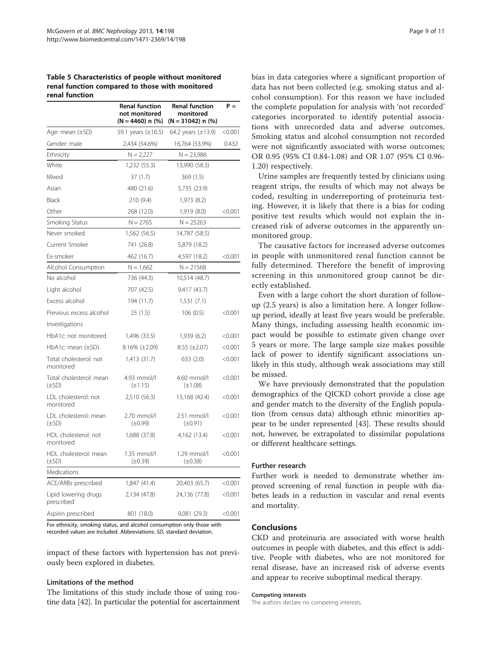<span id="page-8-0"></span>Table 5 Characteristics of people without monitored renal function compared to those with monitored renal function

|                                       | <b>Renal function</b><br>not monitored<br>$(N = 4460)$ n $(\%)$ | <b>Renal function</b><br>monitored<br>(N = 31042) n (%) | $P =$   |
|---------------------------------------|-----------------------------------------------------------------|---------------------------------------------------------|---------|
| Age: mean (±SD)                       | 59.1 years $(\pm 16.5)$                                         | 64.2 years $(\pm 13.9)$                                 | < 0.001 |
| Gender: male                          | 2,434 (54.6%)                                                   | 16,764 (53.9%)                                          | 0.432   |
| Ethnicity                             | $N = 2,227$                                                     | $N = 23,986$                                            |         |
| White                                 | 1,232 (55.3)                                                    | 13,990 (58.3)                                           |         |
| Mixed                                 | 37(1.7)                                                         | 369 (1.5)                                               |         |
| Asian                                 | 480 (21.6)                                                      | 5,735 (23.9)                                            |         |
| Black                                 | 210 (9.4)                                                       | 1,973 (8.2)                                             |         |
| Other                                 | 268 (12.0)                                                      | 1,919 (8.0)                                             | < 0.001 |
| Smoking Status                        | $N = 2765$                                                      | $N = 25263$                                             |         |
| Never smoked                          | 1,562 (56.5)                                                    | 14,787 (58.5)                                           |         |
| Current Smoker                        | 741 (26.8)                                                      | 5,879 (18.2)                                            |         |
| Ex-smoker                             | 462 (16.7)                                                      | 4,597 (18.2)                                            | < 0.001 |
| Alcohol Consumption                   | $N = 1,662$                                                     | $N = 21568$                                             |         |
| No alcohol                            | 736 (44.3)                                                      | 10,514 (48.7)                                           |         |
| Light alcohol                         | 707 (42.5)                                                      | 9,417 (43.7)                                            |         |
| Excess alcohol                        | 194 (11.7)                                                      | 1,531(7.1)                                              |         |
| Previous excess alcohol               | 25(1.5)                                                         | 106(0.5)                                                | < 0.001 |
| Investigations                        |                                                                 |                                                         |         |
| HbA1c: not monitored                  | 1,496 (33.5)                                                    | 1,939(6.2)                                              | < 0.001 |
| HbA1c: mean (±SD)                     | 8.16% (±2.09)                                                   | $8.55 \ (\pm 2.07)$                                     | < 0.001 |
| Total cholesterol: not<br>monitored   | 1,413 (31.7)                                                    | 633 (2.0)                                               | < 0.001 |
| Total cholesterol: mean<br>$(\pm SD)$ | 4.93 mmol/l<br>$(\pm 1.15)$                                     | 4.60 mmol/l<br>$(\pm 1.08)$                             | < 0.001 |
| LDL cholesterol: not<br>monitored     | 2,510 (56.3)                                                    | 13,168 (42.4)                                           | < 0.001 |
| LDL cholesterol: mean<br>$(\pm SD)$   | 2.70 mmol/l<br>$(\pm 0.99)$                                     | 2.51 mmol/l<br>$(\pm 0.91)$                             | < 0.001 |
| HDL cholesterol: not<br>monitored     | 1,688 (37.8)                                                    | 4,162 (13.4)                                            | < 0.001 |
| HDL cholesterol: mean<br>$(\pm SD)$   | 1.35 mmol/l<br>$(\pm 0.39)$                                     | 1.29 mmol/l<br>$(\pm 0.38)$                             | < 0.001 |
| Medications                           |                                                                 |                                                         |         |
| ACE/ARBs prescribed                   | 1,847 (41.4)                                                    | 20,403 (65.7)                                           | < 0.001 |
| Lipid lowering drugs<br>prescribed    | 2,134 (47.8)                                                    | 24,136 (77.8)                                           | < 0.001 |
| Aspirin prescribed                    | 801 (18.0)                                                      | 9,081 (29.3)                                            | < 0.001 |

For ethnicity, smoking status, and alcohol consumption only those with recorded values are included. Abbreviations: SD, standard deviation.

impact of these factors with hypertension has not previously been explored in diabetes.

#### Limitations of the method

The limitations of this study include those of using routine data [\[42\]](#page-10-0). In particular the potential for ascertainment bias in data categories where a significant proportion of data has not been collected (e.g. smoking status and alcohol consumption). For this reason we have included the complete population for analysis with 'not recorded' categories incorporated to identify potential associations with unrecorded data and adverse outcomes. Smoking status and alcohol consumption not recorded were not significantly associated with worse outcomes; OR 0.95 (95% CI 0.84-1.08) and OR 1.07 (95% CI 0.96- 1.20) respectively.

Urine samples are frequently tested by clinicians using reagent strips, the results of which may not always be coded, resulting in underreporting of proteinuria testing. However, it is likely that there is a bias for coding positive test results which would not explain the increased risk of adverse outcomes in the apparently unmonitored group.

The causative factors for increased adverse outcomes in people with unmonitored renal function cannot be fully determined. Therefore the benefit of improving screening in this unmonitored group cannot be directly established.

Even with a large cohort the short duration of followup (2.5 years) is also a limitation here. A longer followup period, ideally at least five years would be preferable. Many things, including assessing health economic impact would be possible to estimate given change over 5 years or more. The large sample size makes possible lack of power to identify significant associations unlikely in this study, although weak associations may still be missed.

We have previously demonstrated that the population demographics of the QICKD cohort provide a close age and gender match to the diversity of the English population (from census data) although ethnic minorities appear to be under represented [[43\]](#page-10-0). These results should not, however, be extrapolated to dissimilar populations or different healthcare settings.

# Further research

Further work is needed to demonstrate whether improved screening of renal function in people with diabetes leads in a reduction in vascular and renal events and mortality.

# Conclusions

CKD and proteinuria are associated with worse health outcomes in people with diabetes, and this effect is additive. People with diabetes, who are not monitored for renal disease, have an increased risk of adverse events and appear to receive suboptimal medical therapy.

#### Competing interests

The authors declare no competing interests.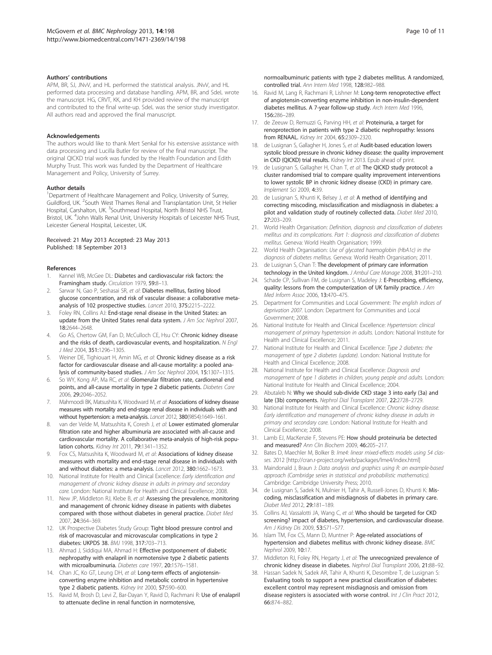#### <span id="page-9-0"></span>Authors' contributions

APM, BR, SJ, JNvV, and HL performed the statistical analysis. JNvV, and HL performed data processing and database handling. APM, BR, and SdeL wrote the manuscript. HG, CRVT, KK, and KH provided review of the manuscript and contributed to the final write-up. SdeL was the senior study investigator. All authors read and approved the final manuscript.

#### Acknowledgements

The authors would like to thank Mert Senkal for his extensive assistance with data processing and Lucilla Butler for review of the final manuscript. The original QICKD trial work was funded by the Health Foundation and Edith Murphy Trust. This work was funded by the Department of Healthcare Management and Policy, University of Surrey.

#### Author details

<sup>1</sup>Department of Healthcare Management and Policy, University of Surrey, Guildford, UK. <sup>2</sup>South West Thames Renal and Transplantation Unit, St Helier Hospital, Carshalton, UK. <sup>3</sup>Southmead Hospital, North Bristol NHS Trust, Bristol, UK.<sup>4</sup>John Walls Renal Unit, University Hospitals of Leicester NHS Trust, Leicester General Hospital, Leicester, UK.

#### Received: 21 May 2013 Accepted: 23 May 2013 Published: 18 September 2013

#### References

- 1. Kannel WB, McGee DL: Diabetes and cardiovascular risk factors: the Framingham study. Circulation 1979, 59:8–13.
- Sarwar N, Gao P, Seshasai SR, et al: Diabetes mellitus, fasting blood glucose concentration, and risk of vascular disease: a collaborative metaanalysis of 102 prospective studies. Lancet 2010, 375:2215–2222.
- 3. Foley RN, Collins AJ: End-stage renal disease in the United States: an update from the United States renal data system. J Am Soc Nephrol 2007, 18:2644–2648.
- 4. Go AS, Chertow GM, Fan D, McCulloch CE, Hsu CY: Chronic kidney disease and the risks of death, cardiovascular events, and hospitalization. N Engl J Med 2004, 351:1296–1305.
- Weiner DE, Tighiouart H, Amin MG, et al: Chronic kidney disease as a risk factor for cardiovascular disease and all-cause mortality: a pooled analysis of community-based studies. J Am Soc Nephrol 2004, 15:1307–1315.
- So WY, Kong AP, Ma RC, et al: Glomerular filtration rate, cardiorenal end points, and all-cause mortality in type 2 diabetic patients. Diabetes Care 2006, 29:2046–2052.
- 7. Mahmoodi BK, Matsushita K, Woodward M, et al: Associations of kidney disease measures with mortality and end-stage renal disease in individuals with and without hypertension: a meta-analysis. Lancet 2012, 380(9854):1649–1661.
- 8. van der Velde M, Matsushita K, Coresh J, et al: Lower estimated glomerular filtration rate and higher albuminuria are associated with all-cause and cardiovascular mortality. A collaborative meta-analysis of high-risk population cohorts. Kidney Int 2011, 79:1341–1352.
- 9. Fox CS, Matsushita K, Woodward M, et al: Associations of kidney disease measures with mortality and end-stage renal disease in individuals with and without diabetes: a meta-analysis. Lancet 2012, 380:1662–1673.
- 10. National Institute for Health and Clinical Excellence: Early identification and management of chronic kidney disease in adults in primary and secondary care. London: National Institute for Health and Clinical Excellence; 2008.
- 11. New JP, Middleton RJ, Klebe B, et al: Assessing the prevalence, monitoring and management of chronic kidney disease in patients with diabetes compared with those without diabetes in general practice. Diabet Med 2007, 24:364–369.
- 12. UK Prospective Diabetes Study Group: Tight blood pressure control and risk of macrovascular and microvascular complications in type 2 diabetes: UKPDS 38. BMJ 1998, 317:703–713.
- 13. Ahmad J, Siddiqui MA, Ahmad H: Effective postponement of diabetic nephropathy with enalapril in normotensive type 2 diabetic patients with microalbuminuria. Diabetes care 1997, 20:1576–1581.
- 14. Chan JC, Ko GT, Leung DH, et al: Long-term effects of angiotensinconverting enzyme inhibition and metabolic control in hypertensive type 2 diabetic patients. Kidney Int 2000, 57:590–600.
- 15. Ravid M, Brosh D, Levi Z, Bar-Dayan Y, Ravid D, Rachmani R: Use of enalapril to attenuate decline in renal function in normotensive,

normoalbuminuric patients with type 2 diabetes mellitus. A randomized, controlled trial. Ann Intern Med 1998, 128:982–988.

- 16. Ravid M, Lang R, Rachmani R, Lishner M: Long-term renoprotective effect of angiotensin-converting enzyme inhibition in non-insulin-dependent diabetes mellitus. A 7-year follow-up study. Arch Intern Med 1996, 156:286–289.
- 17. de Zeeuw D, Remuzzi G, Parving HH, et al: Proteinuria, a target for renoprotection in patients with type 2 diabetic nephropathy: lessons from RENAAL. Kidney Int 2004, 65:2309–2320.
- 18. de Lusignan S, Gallagher H, Jones S, et al: Audit-based education lowers systolic blood pressure in chronic kidney disease: the quality improvement in CKD (QICKD) trial results. Kidney Int 2013. Epub ahead of print.
- 19. de Lusignan S, Gallagher H, Chan T, et al: The QICKD study protocol: a cluster randomised trial to compare quality improvement interventions to lower systolic BP in chronic kidney disease (CKD) in primary care. Implement Sci 2009, 4:39.
- 20. de Lusignan S, Khunti K, Belsey J, et al: A method of identifying and correcting miscoding, misclassification and misdiagnosis in diabetes: a pilot and validation study of routinely collected data. Diabet Med 2010, 27:203–209.
- 21. World Health Organisation: Definition, diagnosis and classification of diabetes mellitus and its complications. Part 1: diagnosis and classification of diabetes mellitus. Geneva: World Health Organisation; 1999.
- 22. World Health Organisation: Use of glycated haemoglobin (HbA1c) in the diagnosis of diabetes mellitus. Geneva: World Health Organisation; 2011.
- 23. de Lusignan S, Chan T: The development of primary care information technology in the United kingdom. J Ambul Care Manage 2008, 31:201–210.
- 24. Schade CP, Sullivan FM, de Lusignan S, Madeley J: E-Prescribing, efficiency, quality: lessons from the computerization of UK family practice. J Am Med Inform Assoc 2006, 13:470–475.
- 25. Department for Communities and Local Government: The english indices of deprivation 2007. London: Department for Communities and Local Government; 2008.
- 26. National Institute for Health and Clinical Excellence: Hypertension: clinical management of primary hypertension in adults. London: National Institute for Health and Clinical Excellence; 2011.
- 27. National Institute for Health and Clinical Excellence: Type 2 diabetes: the management of type 2 diabetes (update). London: National Institute for Health and Clinical Excellence; 2008.
- 28. National Institute for Health and Clinical Excellence: Diagnosis and management of type 1 diabetes in children, young people and adults. London: National Institute for Health and Clinical Excellence; 2004.
- 29. Abutaleb N: Why we should sub-divide CKD stage 3 into early (3a) and late (3b) components. Nephrol Dial Transplant 2007, 22:2728–2729.
- 30. National Institute for Health and Clinical Excellence: Chronic kidney disease. Early identification and management of chronic kidney disease in adults in primary and secondary care. London: National Institute for Health and Clinical Excellence; 2008.
- 31. Lamb EJ, MacKenzie F, Stevens PE: How should proteinuria be detected and measured? Ann Clin Biochem 2009, 46:205–217.
- 32. Bates D, Maechler M, Bolker B: lme4: linear mixed-effects models using S4 classes. 2012 [<http://cran.r-project.org/web/packages/lme4/index.html>]
- 33. Maindonald J, Braun J: Data analysis and graphics using R: an example-based approach (Cambridge series in statistical and probabilistic mathematics). Cambridge: Cambridge University Press; 2010.
- 34. de Lusignan S, Sadek N, Mulnier H, Tahir A, Russell-Jones D, Khunti K: Miscoding, misclassification and misdiagnosis of diabetes in primary care. Diabet Med 2012, 29:181–189.
- 35. Collins AJ, Vassalotti JA, Wang C, et al: Who should be targeted for CKD screening? impact of diabetes, hypertension, and cardiovascular disease. Am J Kidney Dis 2009, 53:S71-S77.
- 36. Islam TM, Fox CS, Mann D, Muntner P: Age-related associations of hypertension and diabetes mellitus with chronic kidney disease. BMC Nephrol 2009, 10:17.
- 37. Middleton RJ, Foley RN, Hegarty J, et al: The unrecognized prevalence of chronic kidney disease in diabetes. Nephrol Dial Transplant 2006, 21:88–92.
- 38. Hassan Sadek N, Sadek AR, Tahir A, Khunti K, Desombre T, de Lusignan S: Evaluating tools to support a new practical classification of diabetes: excellent control may represent misdiagnosis and omission from disease registers is associated with worse control. Int J Clin Pract 2012, 66:874–882.